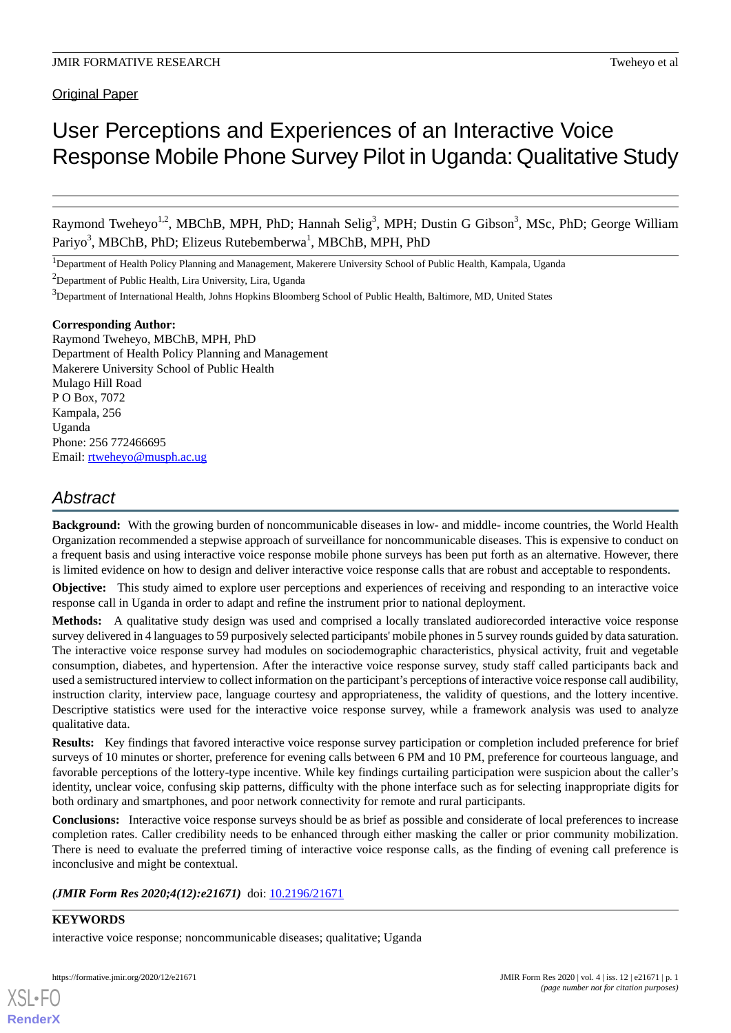# User Perceptions and Experiences of an Interactive Voice Response Mobile Phone Survey Pilot in Uganda:Qualitative Study

Raymond Tweheyo<sup>1,2</sup>, MBChB, MPH, PhD; Hannah Selig<sup>3</sup>, MPH; Dustin G Gibson<sup>3</sup>, MSc, PhD; George William Pariyo<sup>3</sup>, MBChB, PhD; Elizeus Rutebemberwa<sup>1</sup>, MBChB, MPH, PhD

<sup>1</sup>Department of Health Policy Planning and Management, Makerere University School of Public Health, Kampala, Uganda

<sup>2</sup>Department of Public Health, Lira University, Lira, Uganda

 $3$ Department of International Health, Johns Hopkins Bloomberg School of Public Health, Baltimore, MD, United States

# **Corresponding Author:**

Raymond Tweheyo, MBChB, MPH, PhD Department of Health Policy Planning and Management Makerere University School of Public Health Mulago Hill Road P O Box, 7072 Kampala, 256 Uganda Phone: 256 772466695 Email: [rtweheyo@musph.ac.ug](mailto:rtweheyo@musph.ac.ug)

# *Abstract*

**Background:** With the growing burden of noncommunicable diseases in low- and middle- income countries, the World Health Organization recommended a stepwise approach of surveillance for noncommunicable diseases. This is expensive to conduct on a frequent basis and using interactive voice response mobile phone surveys has been put forth as an alternative. However, there is limited evidence on how to design and deliver interactive voice response calls that are robust and acceptable to respondents.

**Objective:** This study aimed to explore user perceptions and experiences of receiving and responding to an interactive voice response call in Uganda in order to adapt and refine the instrument prior to national deployment.

**Methods:** A qualitative study design was used and comprised a locally translated audiorecorded interactive voice response survey delivered in 4 languages to 59 purposively selected participants' mobile phones in 5 survey rounds guided by data saturation. The interactive voice response survey had modules on sociodemographic characteristics, physical activity, fruit and vegetable consumption, diabetes, and hypertension. After the interactive voice response survey, study staff called participants back and used a semistructured interview to collect information on the participant's perceptions of interactive voice response call audibility, instruction clarity, interview pace, language courtesy and appropriateness, the validity of questions, and the lottery incentive. Descriptive statistics were used for the interactive voice response survey, while a framework analysis was used to analyze qualitative data.

**Results:** Key findings that favored interactive voice response survey participation or completion included preference for brief surveys of 10 minutes or shorter, preference for evening calls between 6 PM and 10 PM, preference for courteous language, and favorable perceptions of the lottery-type incentive. While key findings curtailing participation were suspicion about the caller's identity, unclear voice, confusing skip patterns, difficulty with the phone interface such as for selecting inappropriate digits for both ordinary and smartphones, and poor network connectivity for remote and rural participants.

**Conclusions:** Interactive voice response surveys should be as brief as possible and considerate of local preferences to increase completion rates. Caller credibility needs to be enhanced through either masking the caller or prior community mobilization. There is need to evaluate the preferred timing of interactive voice response calls, as the finding of evening call preference is inconclusive and might be contextual.

# *(JMIR Form Res 2020;4(12):e21671)* doi:  $10.2196/21671$

# **KEYWORDS**

[XSL](http://www.w3.org/Style/XSL)•FO **[RenderX](http://www.renderx.com/)**

interactive voice response; noncommunicable diseases; qualitative; Uganda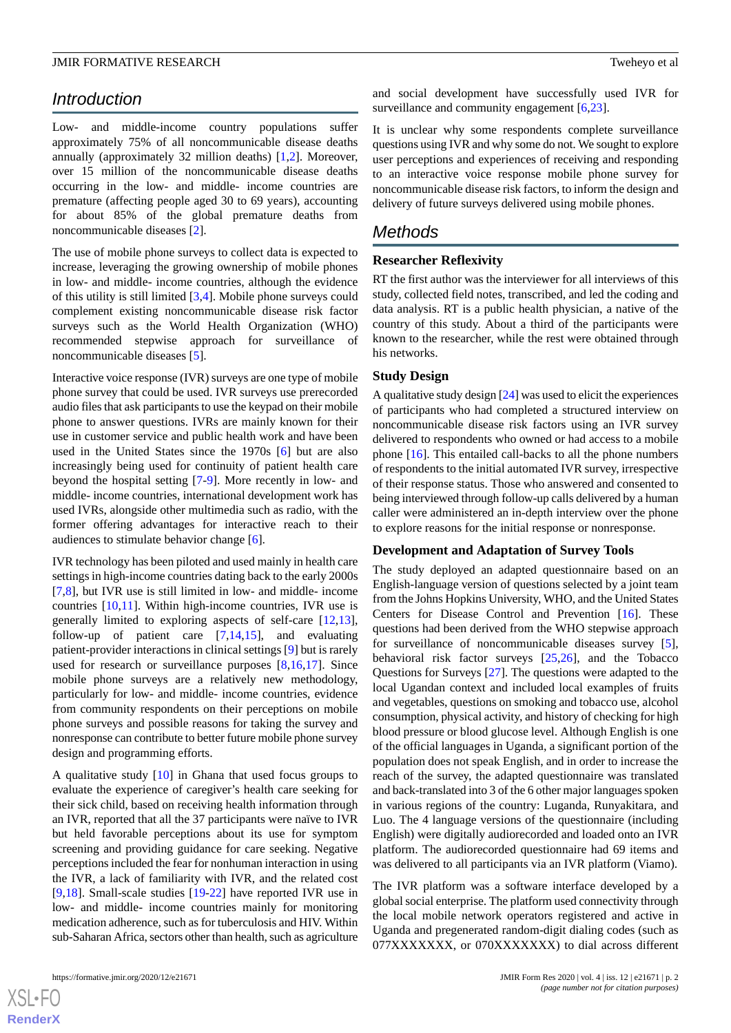# *Introduction*

Low- and middle-income country populations suffer approximately 75% of all noncommunicable disease deaths annually (approximately 32 million deaths) [\[1](#page-8-0),[2\]](#page-9-0). Moreover, over 15 million of the noncommunicable disease deaths occurring in the low- and middle- income countries are premature (affecting people aged 30 to 69 years), accounting for about 85% of the global premature deaths from noncommunicable diseases [[2](#page-9-0)].

The use of mobile phone surveys to collect data is expected to increase, leveraging the growing ownership of mobile phones in low- and middle- income countries, although the evidence of this utility is still limited [[3,](#page-9-1)[4](#page-9-2)]. Mobile phone surveys could complement existing noncommunicable disease risk factor surveys such as the World Health Organization (WHO) recommended stepwise approach for surveillance of noncommunicable diseases [[5](#page-9-3)].

Interactive voice response (IVR) surveys are one type of mobile phone survey that could be used. IVR surveys use prerecorded audio files that ask participants to use the keypad on their mobile phone to answer questions. IVRs are mainly known for their use in customer service and public health work and have been used in the United States since the 1970s [[6\]](#page-9-4) but are also increasingly being used for continuity of patient health care beyond the hospital setting [\[7](#page-9-5)[-9\]](#page-9-6). More recently in low- and middle- income countries, international development work has used IVRs, alongside other multimedia such as radio, with the former offering advantages for interactive reach to their audiences to stimulate behavior change [\[6](#page-9-4)].

IVR technology has been piloted and used mainly in health care settings in high-income countries dating back to the early 2000s [[7](#page-9-5)[,8](#page-9-7)], but IVR use is still limited in low- and middle- income countries [\[10](#page-9-8),[11\]](#page-9-9). Within high-income countries, IVR use is generally limited to exploring aspects of self-care [\[12](#page-9-10),[13\]](#page-9-11), follow-up of patient care [\[7](#page-9-5),[14,](#page-9-12)[15](#page-9-13)], and evaluating patient-provider interactions in clinical settings [[9\]](#page-9-6) but is rarely used for research or surveillance purposes [[8](#page-9-7)[,16](#page-9-14),[17\]](#page-9-15). Since mobile phone surveys are a relatively new methodology, particularly for low- and middle- income countries, evidence from community respondents on their perceptions on mobile phone surveys and possible reasons for taking the survey and nonresponse can contribute to better future mobile phone survey design and programming efforts.

A qualitative study [[10\]](#page-9-8) in Ghana that used focus groups to evaluate the experience of caregiver's health care seeking for their sick child, based on receiving health information through an IVR, reported that all the 37 participants were naïve to IVR but held favorable perceptions about its use for symptom screening and providing guidance for care seeking. Negative perceptions included the fear for nonhuman interaction in using the IVR, a lack of familiarity with IVR, and the related cost [[9](#page-9-6)[,18](#page-9-16)]. Small-scale studies [\[19](#page-9-17)-[22\]](#page-9-18) have reported IVR use in low- and middle- income countries mainly for monitoring medication adherence, such as for tuberculosis and HIV. Within sub-Saharan Africa, sectors other than health, such as agriculture

and social development have successfully used IVR for surveillance and community engagement [\[6](#page-9-4),[23\]](#page-10-0).

It is unclear why some respondents complete surveillance questions using IVR and why some do not. We sought to explore user perceptions and experiences of receiving and responding to an interactive voice response mobile phone survey for noncommunicable disease risk factors, to inform the design and delivery of future surveys delivered using mobile phones.

# *Methods*

# **Researcher Reflexivity**

RT the first author was the interviewer for all interviews of this study, collected field notes, transcribed, and led the coding and data analysis. RT is a public health physician, a native of the country of this study. About a third of the participants were known to the researcher, while the rest were obtained through his networks.

#### **Study Design**

A qualitative study design [[24](#page-10-1)] was used to elicit the experiences of participants who had completed a structured interview on noncommunicable disease risk factors using an IVR survey delivered to respondents who owned or had access to a mobile phone [\[16](#page-9-14)]. This entailed call-backs to all the phone numbers of respondents to the initial automated IVR survey, irrespective of their response status. Those who answered and consented to being interviewed through follow-up calls delivered by a human caller were administered an in-depth interview over the phone to explore reasons for the initial response or nonresponse.

#### **Development and Adaptation of Survey Tools**

The study deployed an adapted questionnaire based on an English-language version of questions selected by a joint team from the Johns Hopkins University, WHO, and the United States Centers for Disease Control and Prevention [[16\]](#page-9-14). These questions had been derived from the WHO stepwise approach for surveillance of noncommunicable diseases survey [[5\]](#page-9-3), behavioral risk factor surveys [\[25](#page-10-2),[26\]](#page-10-3), and the Tobacco Questions for Surveys [\[27](#page-10-4)]. The questions were adapted to the local Ugandan context and included local examples of fruits and vegetables, questions on smoking and tobacco use, alcohol consumption, physical activity, and history of checking for high blood pressure or blood glucose level. Although English is one of the official languages in Uganda, a significant portion of the population does not speak English, and in order to increase the reach of the survey, the adapted questionnaire was translated and back-translated into 3 of the 6 other major languages spoken in various regions of the country: Luganda, Runyakitara, and Luo. The 4 language versions of the questionnaire (including English) were digitally audiorecorded and loaded onto an IVR platform. The audiorecorded questionnaire had 69 items and was delivered to all participants via an IVR platform (Viamo).

The IVR platform was a software interface developed by a global social enterprise. The platform used connectivity through the local mobile network operators registered and active in Uganda and pregenerated random-digit dialing codes (such as 077XXXXXXX, or 070XXXXXXX) to dial across different

 $XS$ -FO **[RenderX](http://www.renderx.com/)**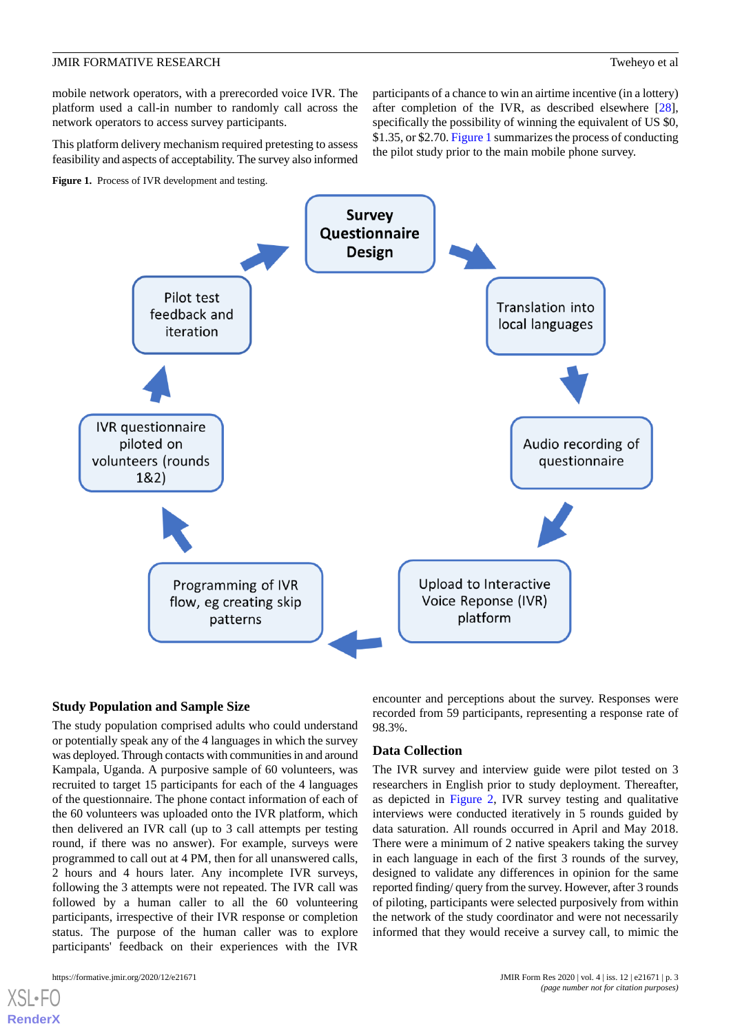mobile network operators, with a prerecorded voice IVR. The platform used a call-in number to randomly call across the network operators to access survey participants.

This platform delivery mechanism required pretesting to assess feasibility and aspects of acceptability. The survey also informed

<span id="page-2-0"></span>**Figure 1.** Process of IVR development and testing.

participants of a chance to win an airtime incentive (in a lottery) after completion of the IVR, as described elsewhere [[28\]](#page-10-5), specifically the possibility of winning the equivalent of US \$0, \$1.35, or \$2.70. [Figure 1](#page-2-0) summarizes the process of conducting the pilot study prior to the main mobile phone survey.



# **Study Population and Sample Size**

The study population comprised adults who could understand or potentially speak any of the 4 languages in which the survey was deployed. Through contacts with communities in and around Kampala, Uganda. A purposive sample of 60 volunteers, was recruited to target 15 participants for each of the 4 languages of the questionnaire. The phone contact information of each of the 60 volunteers was uploaded onto the IVR platform, which then delivered an IVR call (up to 3 call attempts per testing round, if there was no answer). For example, surveys were programmed to call out at 4 PM, then for all unanswered calls, 2 hours and 4 hours later. Any incomplete IVR surveys, following the 3 attempts were not repeated. The IVR call was followed by a human caller to all the 60 volunteering participants, irrespective of their IVR response or completion status. The purpose of the human caller was to explore participants' feedback on their experiences with the IVR

[XSL](http://www.w3.org/Style/XSL)•FO **[RenderX](http://www.renderx.com/)**

encounter and perceptions about the survey. Responses were recorded from 59 participants, representing a response rate of 98.3%.

# **Data Collection**

The IVR survey and interview guide were pilot tested on 3 researchers in English prior to study deployment. Thereafter, as depicted in [Figure 2](#page-3-0), IVR survey testing and qualitative interviews were conducted iteratively in 5 rounds guided by data saturation. All rounds occurred in April and May 2018. There were a minimum of 2 native speakers taking the survey in each language in each of the first 3 rounds of the survey, designed to validate any differences in opinion for the same reported finding/ query from the survey. However, after 3 rounds of piloting, participants were selected purposively from within the network of the study coordinator and were not necessarily informed that they would receive a survey call, to mimic the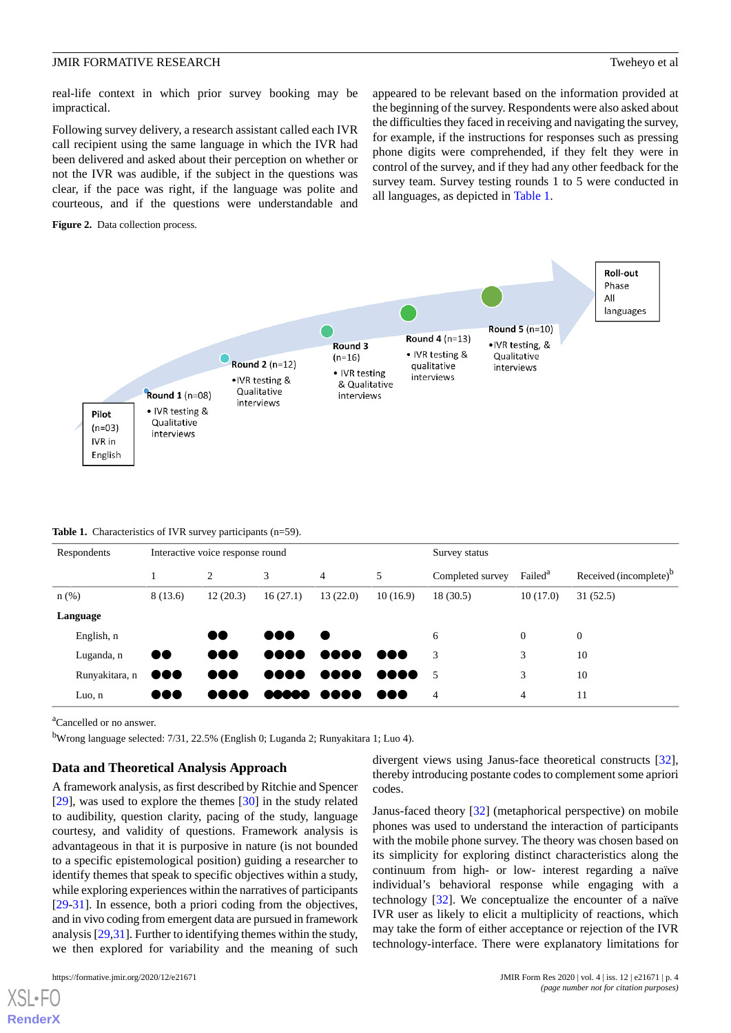real-life context in which prior survey booking may be impractical.

Following survey delivery, a research assistant called each IVR call recipient using the same language in which the IVR had been delivered and asked about their perception on whether or not the IVR was audible, if the subject in the questions was clear, if the pace was right, if the language was polite and courteous, and if the questions were understandable and

<span id="page-3-0"></span>**Figure 2.** Data collection process.

appeared to be relevant based on the information provided at the beginning of the survey. Respondents were also asked about the difficulties they faced in receiving and navigating the survey, for example, if the instructions for responses such as pressing phone digits were comprehended, if they felt they were in control of the survey, and if they had any other feedback for the survey team. Survey testing rounds 1 to 5 were conducted in all languages, as depicted in [Table 1](#page-3-1).



#### <span id="page-3-1"></span>**Table 1.** Characteristics of IVR survey participants (n=59).

| Respondents    | Interactive voice response round |                         |                         |          |          | Survey status    |                     |                                    |
|----------------|----------------------------------|-------------------------|-------------------------|----------|----------|------------------|---------------------|------------------------------------|
|                |                                  | $\overline{c}$          | 3                       | 4        | 5        | Completed survey | Failed <sup>a</sup> | Received (incomplete) <sup>b</sup> |
| $n$ (%)        | 8(13.6)                          | 12(20.3)                | 16(27.1)                | 13(22.0) | 10(16.9) | 18 (30.5)        | 10(17.0)            | 31(52.5)                           |
| Language       |                                  |                         |                         |          |          |                  |                     |                                    |
| English, n     |                                  | DO                      | $\bullet\bullet\bullet$ |          |          | 6                | $\overline{0}$      | $\theta$                           |
| Luganda, n     | $\bullet\bullet$                 | $\bullet\bullet\bullet$ |                         |          | 888      | 3                | 3                   | 10                                 |
| Runyakitara, n | $\bullet\bullet\bullet$          | 000                     |                         |          | 808C     | - 5              | 3                   | 10                                 |
| Luo, n         | $\bullet\bullet\bullet$          | DOO<br>$\mathbf{r}$     | <b>MOOO</b>             | DO 88    | naa      | $\overline{4}$   | 4                   | 11                                 |

<sup>a</sup>Cancelled or no answer.

<sup>b</sup>Wrong language selected: 7/31, 22.5% (English 0; Luganda 2; Runyakitara 1; Luo 4).

# **Data and Theoretical Analysis Approach**

A framework analysis, as first described by Ritchie and Spencer [[29\]](#page-10-6), was used to explore the themes [[30\]](#page-10-7) in the study related to audibility, question clarity, pacing of the study, language courtesy, and validity of questions. Framework analysis is advantageous in that it is purposive in nature (is not bounded to a specific epistemological position) guiding a researcher to identify themes that speak to specific objectives within a study, while exploring experiences within the narratives of participants [[29](#page-10-6)[-31](#page-10-8)]. In essence, both a priori coding from the objectives, and in vivo coding from emergent data are pursued in framework analysis [[29](#page-10-6)[,31](#page-10-8)]. Further to identifying themes within the study, we then explored for variability and the meaning of such

```
https://formative.jmir.org/2020/12/e21671 1 1 and 12/02/00 12/e21671 1 and 12/02/00 1 and 138. 12 | e21671 | p. 4
```
[XSL](http://www.w3.org/Style/XSL)•FO **[RenderX](http://www.renderx.com/)**

divergent views using Janus-face theoretical constructs [[32\]](#page-10-9), thereby introducing postante codes to complement some apriori codes.

Janus-faced theory [[32\]](#page-10-9) (metaphorical perspective) on mobile phones was used to understand the interaction of participants with the mobile phone survey. The theory was chosen based on its simplicity for exploring distinct characteristics along the continuum from high- or low- interest regarding a naïve individual's behavioral response while engaging with a technology [\[32](#page-10-9)]. We conceptualize the encounter of a naïve IVR user as likely to elicit a multiplicity of reactions, which may take the form of either acceptance or rejection of the IVR technology-interface. There were explanatory limitations for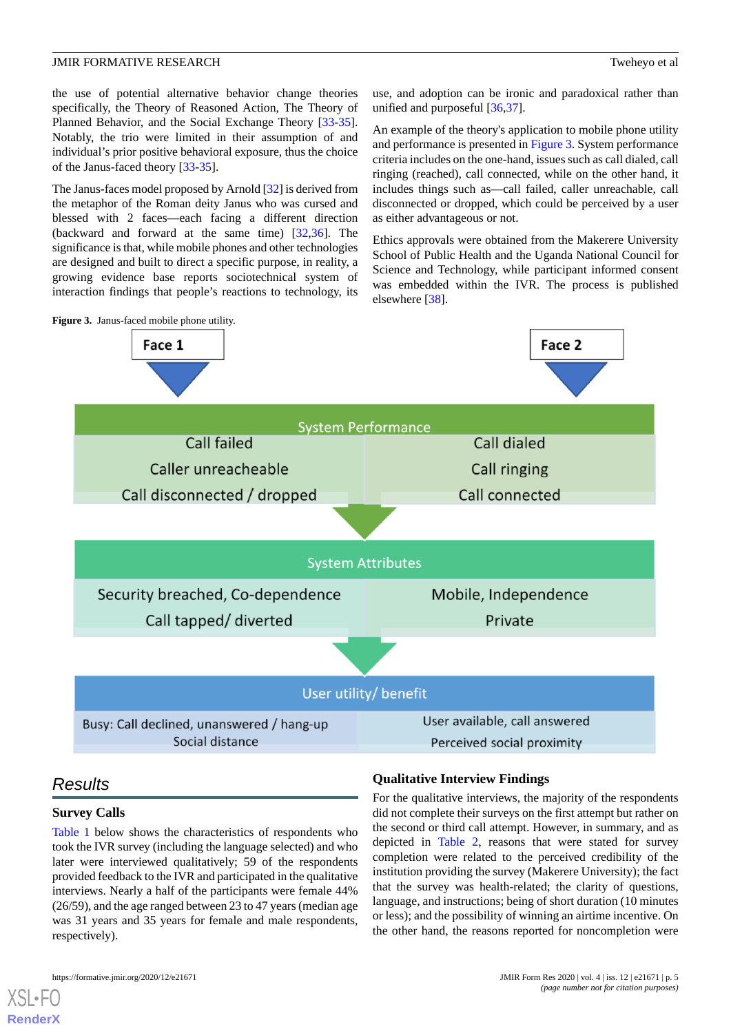the use of potential alternative behavior change theories specifically, the Theory of Reasoned Action, The Theory of Planned Behavior, and the Social Exchange Theory [\[33](#page-10-10)-[35\]](#page-10-11). Notably, the trio were limited in their assumption of and individual's prior positive behavioral exposure, thus the choice of the Janus-faced theory [\[33](#page-10-10)[-35](#page-10-11)].

The Janus-faces model proposed by Arnold [[32](#page-10-9)] is derived from the metaphor of the Roman deity Janus who was cursed and blessed with 2 faces—each facing a different direction (backward and forward at the same time) [\[32](#page-10-9),[36\]](#page-10-12). The significance is that, while mobile phones and other technologies are designed and built to direct a specific purpose, in reality, a growing evidence base reports sociotechnical system of interaction findings that people's reactions to technology, its use, and adoption can be ironic and paradoxical rather than unified and purposeful [[36](#page-10-12)[,37](#page-10-13)].

An example of the theory's application to mobile phone utility and performance is presented in [Figure 3.](#page-4-0) System performance criteria includes on the one-hand, issues such as call dialed, call ringing (reached), call connected, while on the other hand, it includes things such as—call failed, caller unreachable, call disconnected or dropped, which could be perceived by a user as either advantageous or not.

Ethics approvals were obtained from the Makerere University School of Public Health and the Uganda National Council for Science and Technology, while participant informed consent was embedded within the IVR. The process is published elsewhere [\[38](#page-10-14)].

<span id="page-4-0"></span>

# *Results*

# **Survey Calls**

[Table 1](#page-3-1) below shows the characteristics of respondents who took the IVR survey (including the language selected) and who later were interviewed qualitatively; 59 of the respondents provided feedback to the IVR and participated in the qualitative interviews. Nearly a half of the participants were female 44% (26/59), and the age ranged between 23 to 47 years (median age was 31 years and 35 years for female and male respondents, respectively).

# **Qualitative Interview Findings**

For the qualitative interviews, the majority of the respondents did not complete their surveys on the first attempt but rather on the second or third call attempt. However, in summary, and as depicted in [Table 2,](#page-5-0) reasons that were stated for survey completion were related to the perceived credibility of the institution providing the survey (Makerere University); the fact that the survey was health-related; the clarity of questions, language, and instructions; being of short duration (10 minutes or less); and the possibility of winning an airtime incentive. On the other hand, the reasons reported for noncompletion were

[XSL](http://www.w3.org/Style/XSL)•FO **[RenderX](http://www.renderx.com/)**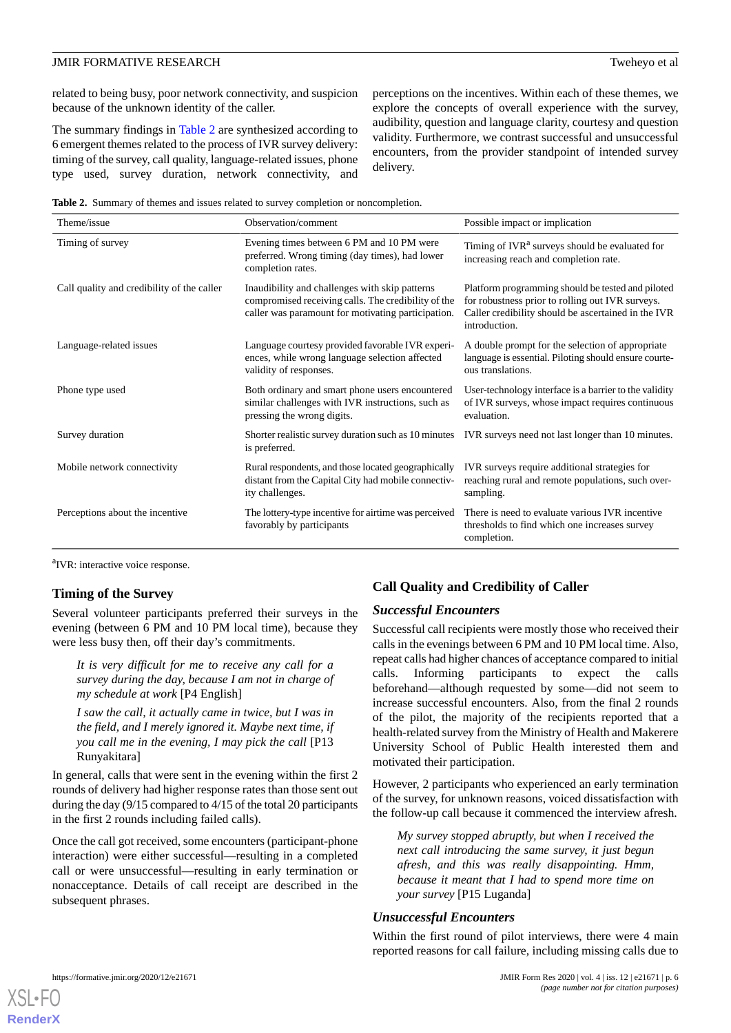related to being busy, poor network connectivity, and suspicion because of the unknown identity of the caller.

The summary findings in [Table 2](#page-5-0) are synthesized according to 6 emergent themes related to the process of IVR survey delivery: timing of the survey, call quality, language-related issues, phone type used, survey duration, network connectivity, and perceptions on the incentives. Within each of these themes, we explore the concepts of overall experience with the survey, audibility, question and language clarity, courtesy and question validity. Furthermore, we contrast successful and unsuccessful encounters, from the provider standpoint of intended survey delivery.

<span id="page-5-0"></span>**Table 2.** Summary of themes and issues related to survey completion or noncompletion.

| Theme/issue                                | Observation/comment                                                                                                                                         | Possible impact or implication                                                                                                                                                |
|--------------------------------------------|-------------------------------------------------------------------------------------------------------------------------------------------------------------|-------------------------------------------------------------------------------------------------------------------------------------------------------------------------------|
| Timing of survey                           | Evening times between 6 PM and 10 PM were<br>preferred. Wrong timing (day times), had lower<br>completion rates.                                            | Timing of IVR <sup>a</sup> surveys should be evaluated for<br>increasing reach and completion rate.                                                                           |
| Call quality and credibility of the caller | Inaudibility and challenges with skip patterns<br>compromised receiving calls. The credibility of the<br>caller was paramount for motivating participation. | Platform programming should be tested and piloted<br>for robustness prior to rolling out IVR surveys.<br>Caller credibility should be ascertained in the IVR<br>introduction. |
| Language-related issues                    | Language courtesy provided favorable IVR experi-<br>ences, while wrong language selection affected<br>validity of responses.                                | A double prompt for the selection of appropriate<br>language is essential. Piloting should ensure courte-<br>ous translations.                                                |
| Phone type used                            | Both ordinary and smart phone users encountered<br>similar challenges with IVR instructions, such as<br>pressing the wrong digits.                          | User-technology interface is a barrier to the validity<br>of IVR surveys, whose impact requires continuous<br>evaluation.                                                     |
| Survey duration                            | Shorter realistic survey duration such as 10 minutes<br>is preferred.                                                                                       | IVR surveys need not last longer than 10 minutes.                                                                                                                             |
| Mobile network connectivity                | Rural respondents, and those located geographically<br>distant from the Capital City had mobile connectiv-<br>ity challenges.                               | IVR surveys require additional strategies for<br>reaching rural and remote populations, such over-<br>sampling.                                                               |
| Perceptions about the incentive            | The lottery-type incentive for airtime was perceived<br>favorably by participants                                                                           | There is need to evaluate various IVR incentive<br>thresholds to find which one increases survey<br>completion.                                                               |

<sup>a</sup>IVR: interactive voice response.

# **Timing of the Survey**

Several volunteer participants preferred their surveys in the evening (between 6 PM and 10 PM local time), because they were less busy then, off their day's commitments.

*It is very difficult for me to receive any call for a survey during the day, because I am not in charge of my schedule at work* [P4 English]

*I saw the call, it actually came in twice, but I was in the field, and I merely ignored it. Maybe next time, if you call me in the evening, I may pick the call* [P13 Runyakitara]

In general, calls that were sent in the evening within the first 2 rounds of delivery had higher response rates than those sent out during the day (9/15 compared to 4/15 of the total 20 participants in the first 2 rounds including failed calls).

Once the call got received, some encounters (participant-phone interaction) were either successful—resulting in a completed call or were unsuccessful—resulting in early termination or nonacceptance. Details of call receipt are described in the subsequent phrases.

# **Call Quality and Credibility of Caller**

# *Successful Encounters*

Successful call recipients were mostly those who received their calls in the evenings between 6 PM and 10 PM local time. Also, repeat calls had higher chances of acceptance compared to initial calls. Informing participants to expect the calls beforehand—although requested by some—did not seem to increase successful encounters. Also, from the final 2 rounds of the pilot, the majority of the recipients reported that a health-related survey from the Ministry of Health and Makerere University School of Public Health interested them and motivated their participation.

However, 2 participants who experienced an early termination of the survey, for unknown reasons, voiced dissatisfaction with the follow-up call because it commenced the interview afresh.

*My survey stopped abruptly, but when I received the next call introducing the same survey, it just begun afresh, and this was really disappointing. Hmm, because it meant that I had to spend more time on your survey* [P15 Luganda]

# *Unsuccessful Encounters*

Within the first round of pilot interviews, there were 4 main reported reasons for call failure, including missing calls due to

```
XSL•FO
RenderX
```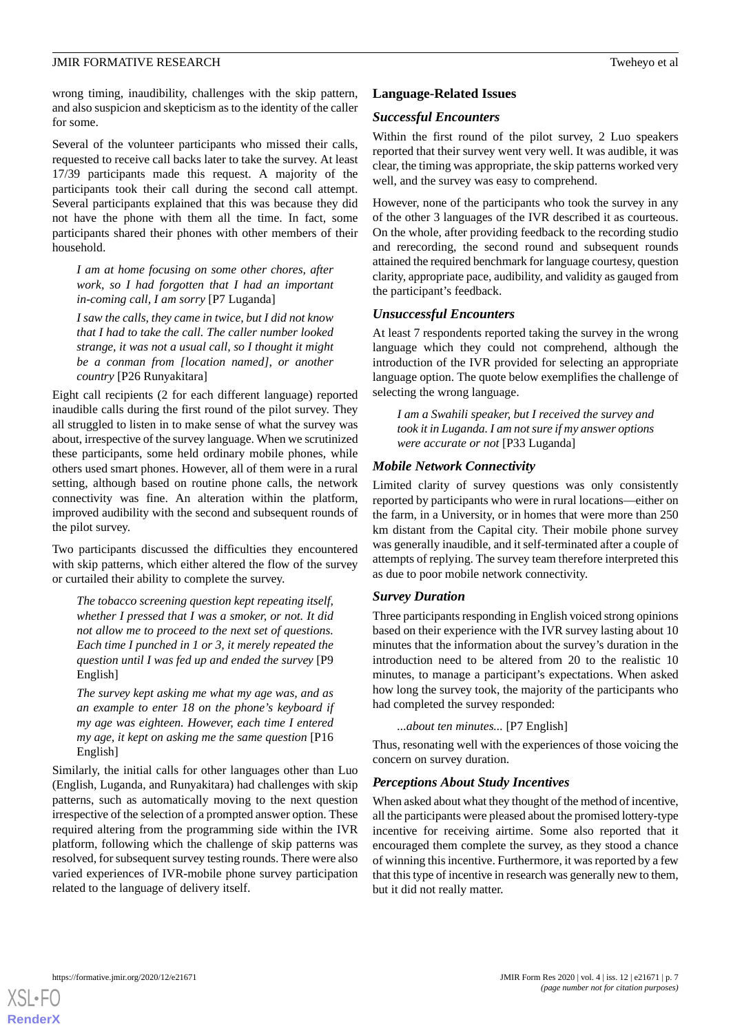# JMIR FORMATIVE RESEARCH Tweheyo et al

wrong timing, inaudibility, challenges with the skip pattern, and also suspicion and skepticism as to the identity of the caller for some.

Several of the volunteer participants who missed their calls, requested to receive call backs later to take the survey. At least 17/39 participants made this request. A majority of the participants took their call during the second call attempt. Several participants explained that this was because they did not have the phone with them all the time. In fact, some participants shared their phones with other members of their household.

*I am at home focusing on some other chores, after work, so I had forgotten that I had an important in-coming call, I am sorry* [P7 Luganda]

*I saw the calls, they came in twice, but I did not know that I had to take the call. The caller number looked strange, it was not a usual call, so I thought it might be a conman from [location named], or another country* [P26 Runyakitara]

Eight call recipients (2 for each different language) reported inaudible calls during the first round of the pilot survey. They all struggled to listen in to make sense of what the survey was about, irrespective of the survey language. When we scrutinized these participants, some held ordinary mobile phones, while others used smart phones. However, all of them were in a rural setting, although based on routine phone calls, the network connectivity was fine. An alteration within the platform, improved audibility with the second and subsequent rounds of the pilot survey.

Two participants discussed the difficulties they encountered with skip patterns, which either altered the flow of the survey or curtailed their ability to complete the survey.

*The tobacco screening question kept repeating itself, whether I pressed that I was a smoker, or not. It did not allow me to proceed to the next set of questions. Each time I punched in 1 or 3, it merely repeated the question until I was fed up and ended the survey* [P9 English]

*The survey kept asking me what my age was, and as an example to enter 18 on the phone's keyboard if my age was eighteen. However, each time I entered my age, it kept on asking me the same question* [P16 English]

Similarly, the initial calls for other languages other than Luo (English, Luganda, and Runyakitara) had challenges with skip patterns, such as automatically moving to the next question irrespective of the selection of a prompted answer option. These required altering from the programming side within the IVR platform, following which the challenge of skip patterns was resolved, for subsequent survey testing rounds. There were also varied experiences of IVR-mobile phone survey participation related to the language of delivery itself.

# **Language-Related Issues**

# *Successful Encounters*

Within the first round of the pilot survey, 2 Luo speakers reported that their survey went very well. It was audible, it was clear, the timing was appropriate, the skip patterns worked very well, and the survey was easy to comprehend.

However, none of the participants who took the survey in any of the other 3 languages of the IVR described it as courteous. On the whole, after providing feedback to the recording studio and rerecording, the second round and subsequent rounds attained the required benchmark for language courtesy, question clarity, appropriate pace, audibility, and validity as gauged from the participant's feedback.

# *Unsuccessful Encounters*

At least 7 respondents reported taking the survey in the wrong language which they could not comprehend, although the introduction of the IVR provided for selecting an appropriate language option. The quote below exemplifies the challenge of selecting the wrong language.

*I am a Swahili speaker, but I received the survey and took it in Luganda. I am not sure if my answer options were accurate or not* [P33 Luganda]

#### *Mobile Network Connectivity*

Limited clarity of survey questions was only consistently reported by participants who were in rural locations—either on the farm, in a University, or in homes that were more than 250 km distant from the Capital city. Their mobile phone survey was generally inaudible, and it self-terminated after a couple of attempts of replying. The survey team therefore interpreted this as due to poor mobile network connectivity.

# *Survey Duration*

Three participants responding in English voiced strong opinions based on their experience with the IVR survey lasting about 10 minutes that the information about the survey's duration in the introduction need to be altered from 20 to the realistic 10 minutes, to manage a participant's expectations. When asked how long the survey took, the majority of the participants who had completed the survey responded:

#### *...about ten minutes...* [P7 English]

Thus, resonating well with the experiences of those voicing the concern on survey duration.

#### *Perceptions About Study Incentives*

When asked about what they thought of the method of incentive, all the participants were pleased about the promised lottery-type incentive for receiving airtime. Some also reported that it encouraged them complete the survey, as they stood a chance of winning this incentive. Furthermore, it was reported by a few that this type of incentive in research was generally new to them, but it did not really matter.

[XSL](http://www.w3.org/Style/XSL)•FO **[RenderX](http://www.renderx.com/)**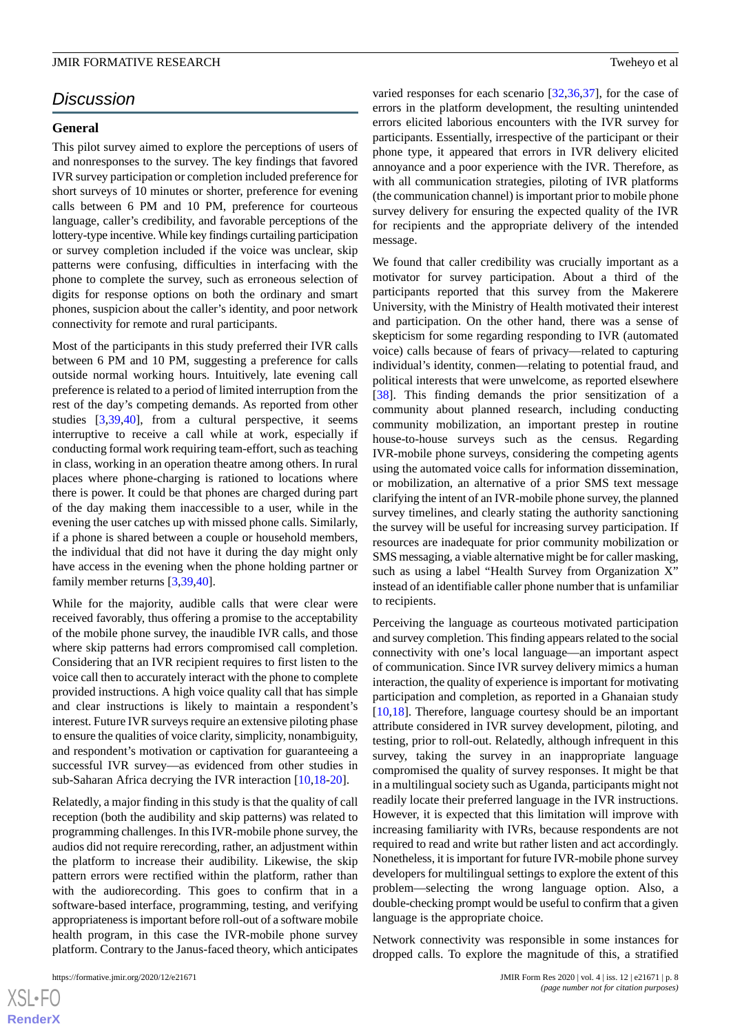# *Discussion*

# **General**

This pilot survey aimed to explore the perceptions of users of and nonresponses to the survey. The key findings that favored IVR survey participation or completion included preference for short surveys of 10 minutes or shorter, preference for evening calls between 6 PM and 10 PM, preference for courteous language, caller's credibility, and favorable perceptions of the lottery-type incentive. While key findings curtailing participation or survey completion included if the voice was unclear, skip patterns were confusing, difficulties in interfacing with the phone to complete the survey, such as erroneous selection of digits for response options on both the ordinary and smart phones, suspicion about the caller's identity, and poor network connectivity for remote and rural participants.

Most of the participants in this study preferred their IVR calls between 6 PM and 10 PM, suggesting a preference for calls outside normal working hours. Intuitively, late evening call preference is related to a period of limited interruption from the rest of the day's competing demands. As reported from other studies [[3](#page-9-1)[,39](#page-10-15),[40\]](#page-10-16), from a cultural perspective, it seems interruptive to receive a call while at work, especially if conducting formal work requiring team-effort, such as teaching in class, working in an operation theatre among others. In rural places where phone-charging is rationed to locations where there is power. It could be that phones are charged during part of the day making them inaccessible to a user, while in the evening the user catches up with missed phone calls. Similarly, if a phone is shared between a couple or household members, the individual that did not have it during the day might only have access in the evening when the phone holding partner or family member returns [[3](#page-9-1)[,39](#page-10-15),[40\]](#page-10-16).

While for the majority, audible calls that were clear were received favorably, thus offering a promise to the acceptability of the mobile phone survey, the inaudible IVR calls, and those where skip patterns had errors compromised call completion. Considering that an IVR recipient requires to first listen to the voice call then to accurately interact with the phone to complete provided instructions. A high voice quality call that has simple and clear instructions is likely to maintain a respondent's interest. Future IVR surveys require an extensive piloting phase to ensure the qualities of voice clarity, simplicity, nonambiguity, and respondent's motivation or captivation for guaranteeing a successful IVR survey—as evidenced from other studies in sub-Saharan Africa decrying the IVR interaction [\[10](#page-9-8),[18-](#page-9-16)[20\]](#page-9-19).

Relatedly, a major finding in this study is that the quality of call reception (both the audibility and skip patterns) was related to programming challenges. In this IVR-mobile phone survey, the audios did not require rerecording, rather, an adjustment within the platform to increase their audibility. Likewise, the skip pattern errors were rectified within the platform, rather than with the audiorecording. This goes to confirm that in a software-based interface, programming, testing, and verifying appropriateness is important before roll-out of a software mobile health program, in this case the IVR-mobile phone survey platform. Contrary to the Janus-faced theory, which anticipates

varied responses for each scenario [[32](#page-10-9)[,36](#page-10-12),[37\]](#page-10-13), for the case of errors in the platform development, the resulting unintended errors elicited laborious encounters with the IVR survey for participants. Essentially, irrespective of the participant or their phone type, it appeared that errors in IVR delivery elicited annoyance and a poor experience with the IVR. Therefore, as with all communication strategies, piloting of IVR platforms (the communication channel) is important prior to mobile phone survey delivery for ensuring the expected quality of the IVR for recipients and the appropriate delivery of the intended message.

We found that caller credibility was crucially important as a motivator for survey participation. About a third of the participants reported that this survey from the Makerere University, with the Ministry of Health motivated their interest and participation. On the other hand, there was a sense of skepticism for some regarding responding to IVR (automated voice) calls because of fears of privacy—related to capturing individual's identity, conmen—relating to potential fraud, and political interests that were unwelcome, as reported elsewhere [[38\]](#page-10-14). This finding demands the prior sensitization of a community about planned research, including conducting community mobilization, an important prestep in routine house-to-house surveys such as the census. Regarding IVR-mobile phone surveys, considering the competing agents using the automated voice calls for information dissemination, or mobilization, an alternative of a prior SMS text message clarifying the intent of an IVR-mobile phone survey, the planned survey timelines, and clearly stating the authority sanctioning the survey will be useful for increasing survey participation. If resources are inadequate for prior community mobilization or SMS messaging, a viable alternative might be for caller masking, such as using a label "Health Survey from Organization X" instead of an identifiable caller phone number that is unfamiliar to recipients.

Perceiving the language as courteous motivated participation and survey completion. This finding appears related to the social connectivity with one's local language—an important aspect of communication. Since IVR survey delivery mimics a human interaction, the quality of experience is important for motivating participation and completion, as reported in a Ghanaian study [[10,](#page-9-8)[18\]](#page-9-16). Therefore, language courtesy should be an important attribute considered in IVR survey development, piloting, and testing, prior to roll-out. Relatedly, although infrequent in this survey, taking the survey in an inappropriate language compromised the quality of survey responses. It might be that in a multilingual society such as Uganda, participants might not readily locate their preferred language in the IVR instructions. However, it is expected that this limitation will improve with increasing familiarity with IVRs, because respondents are not required to read and write but rather listen and act accordingly. Nonetheless, it is important for future IVR-mobile phone survey developers for multilingual settings to explore the extent of this problem—selecting the wrong language option. Also, a double-checking prompt would be useful to confirm that a given language is the appropriate choice.

Network connectivity was responsible in some instances for dropped calls. To explore the magnitude of this, a stratified

 $XS$ -FO **[RenderX](http://www.renderx.com/)**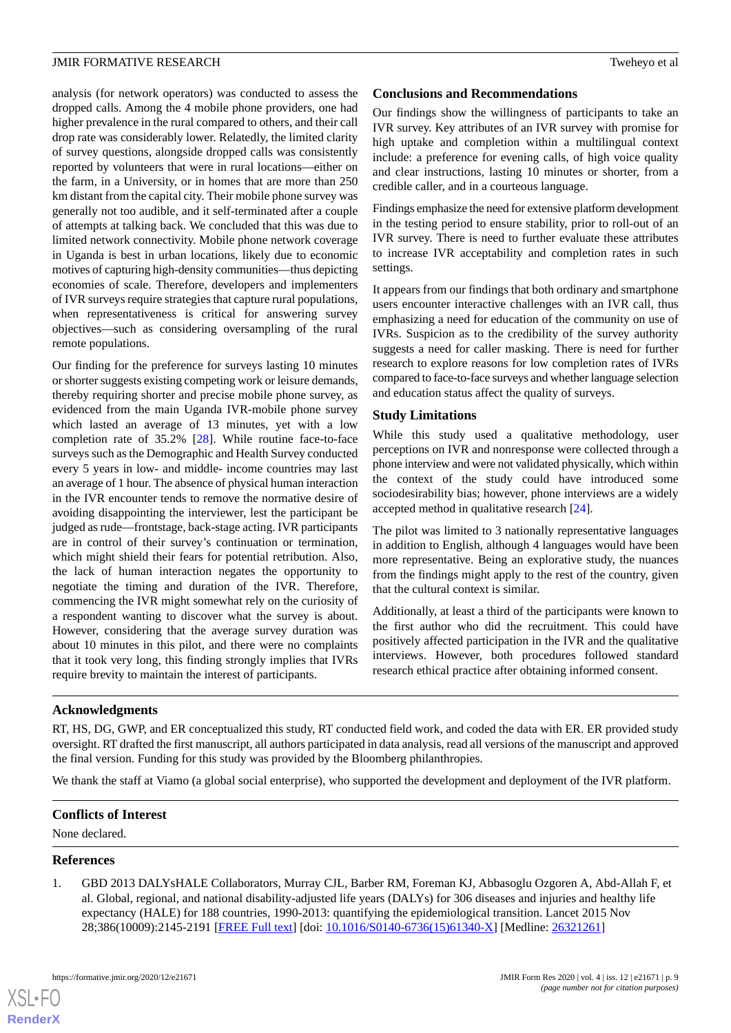analysis (for network operators) was conducted to assess the dropped calls. Among the 4 mobile phone providers, one had higher prevalence in the rural compared to others, and their call drop rate was considerably lower. Relatedly, the limited clarity of survey questions, alongside dropped calls was consistently reported by volunteers that were in rural locations—either on the farm, in a University, or in homes that are more than 250 km distant from the capital city. Their mobile phone survey was generally not too audible, and it self-terminated after a couple of attempts at talking back. We concluded that this was due to limited network connectivity. Mobile phone network coverage in Uganda is best in urban locations, likely due to economic motives of capturing high-density communities—thus depicting economies of scale. Therefore, developers and implementers of IVR surveys require strategies that capture rural populations, when representativeness is critical for answering survey objectives—such as considering oversampling of the rural remote populations.

Our finding for the preference for surveys lasting 10 minutes or shorter suggests existing competing work or leisure demands, thereby requiring shorter and precise mobile phone survey, as evidenced from the main Uganda IVR-mobile phone survey which lasted an average of 13 minutes, yet with a low completion rate of 35.2% [\[28](#page-10-5)]. While routine face-to-face surveys such as the Demographic and Health Survey conducted every 5 years in low- and middle- income countries may last an average of 1 hour. The absence of physical human interaction in the IVR encounter tends to remove the normative desire of avoiding disappointing the interviewer, lest the participant be judged as rude—frontstage, back-stage acting. IVR participants are in control of their survey's continuation or termination, which might shield their fears for potential retribution. Also, the lack of human interaction negates the opportunity to negotiate the timing and duration of the IVR. Therefore, commencing the IVR might somewhat rely on the curiosity of a respondent wanting to discover what the survey is about. However, considering that the average survey duration was about 10 minutes in this pilot, and there were no complaints that it took very long, this finding strongly implies that IVRs require brevity to maintain the interest of participants.

# **Conclusions and Recommendations**

Our findings show the willingness of participants to take an IVR survey. Key attributes of an IVR survey with promise for high uptake and completion within a multilingual context include: a preference for evening calls, of high voice quality and clear instructions, lasting 10 minutes or shorter, from a credible caller, and in a courteous language.

Findings emphasize the need for extensive platform development in the testing period to ensure stability, prior to roll-out of an IVR survey. There is need to further evaluate these attributes to increase IVR acceptability and completion rates in such settings.

It appears from our findings that both ordinary and smartphone users encounter interactive challenges with an IVR call, thus emphasizing a need for education of the community on use of IVRs. Suspicion as to the credibility of the survey authority suggests a need for caller masking. There is need for further research to explore reasons for low completion rates of IVRs compared to face-to-face surveys and whether language selection and education status affect the quality of surveys.

# **Study Limitations**

While this study used a qualitative methodology, user perceptions on IVR and nonresponse were collected through a phone interview and were not validated physically, which within the context of the study could have introduced some sociodesirability bias; however, phone interviews are a widely accepted method in qualitative research [\[24](#page-10-1)].

The pilot was limited to 3 nationally representative languages in addition to English, although 4 languages would have been more representative. Being an explorative study, the nuances from the findings might apply to the rest of the country, given that the cultural context is similar.

Additionally, at least a third of the participants were known to the first author who did the recruitment. This could have positively affected participation in the IVR and the qualitative interviews. However, both procedures followed standard research ethical practice after obtaining informed consent.

# **Acknowledgments**

RT, HS, DG, GWP, and ER conceptualized this study, RT conducted field work, and coded the data with ER. ER provided study oversight. RT drafted the first manuscript, all authors participated in data analysis, read all versions of the manuscript and approved the final version. Funding for this study was provided by the Bloomberg philanthropies.

<span id="page-8-0"></span>We thank the staff at Viamo (a global social enterprise), who supported the development and deployment of the IVR platform.

# **Conflicts of Interest**

None declared.

#### **References**

 $X$ SL•F $O$ **[RenderX](http://www.renderx.com/)**

1. GBD 2013 DALYsHALE Collaborators, Murray CJL, Barber RM, Foreman KJ, Abbasoglu Ozgoren A, Abd-Allah F, et al. Global, regional, and national disability-adjusted life years (DALYs) for 306 diseases and injuries and healthy life expectancy (HALE) for 188 countries, 1990-2013: quantifying the epidemiological transition. Lancet 2015 Nov 28;386(10009):2145-2191 [[FREE Full text](http://europepmc.org/abstract/MED/26321261)] [doi: [10.1016/S0140-6736\(15\)61340-X\]](http://dx.doi.org/10.1016/S0140-6736(15)61340-X) [Medline: [26321261\]](http://www.ncbi.nlm.nih.gov/entrez/query.fcgi?cmd=Retrieve&db=PubMed&list_uids=26321261&dopt=Abstract)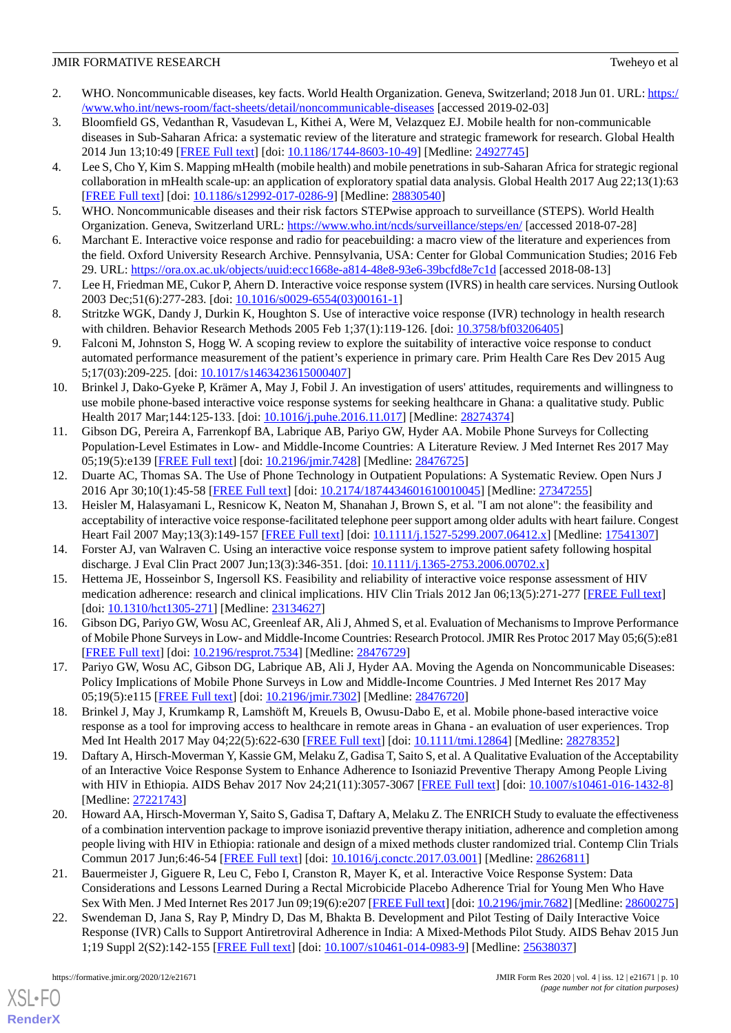# **JMIR FORMATIVE RESEARCH** TWEE SECOND CONSUMING TWEE SECOND TWEE SECOND TWEE SECOND TWEE SECOND TWEE SECOND TWEE SECOND SECOND SECOND SECOND SECOND SECOND SECOND SECOND SECOND SECOND SECOND SECOND SECOND SECOND SECOND SECO

- <span id="page-9-0"></span>2. WHO. Noncommunicable diseases, key facts. World Health Organization. Geneva, Switzerland; 2018 Jun 01. URL: [https:/](https://www.who.int/news-room/fact-sheets/detail/noncommunicable-diseases) [/www.who.int/news-room/fact-sheets/detail/noncommunicable-diseases](https://www.who.int/news-room/fact-sheets/detail/noncommunicable-diseases) [accessed 2019-02-03]
- <span id="page-9-1"></span>3. Bloomfield GS, Vedanthan R, Vasudevan L, Kithei A, Were M, Velazquez EJ. Mobile health for non-communicable diseases in Sub-Saharan Africa: a systematic review of the literature and strategic framework for research. Global Health 2014 Jun 13;10:49 [[FREE Full text](https://globalizationandhealth.biomedcentral.com/articles/10.1186/1744-8603-10-49)] [doi: [10.1186/1744-8603-10-49\]](http://dx.doi.org/10.1186/1744-8603-10-49) [Medline: [24927745\]](http://www.ncbi.nlm.nih.gov/entrez/query.fcgi?cmd=Retrieve&db=PubMed&list_uids=24927745&dopt=Abstract)
- <span id="page-9-2"></span>4. Lee S, Cho Y, Kim S. Mapping mHealth (mobile health) and mobile penetrations in sub-Saharan Africa for strategic regional collaboration in mHealth scale-up: an application of exploratory spatial data analysis. Global Health 2017 Aug 22;13(1):63 [[FREE Full text](https://globalizationandhealth.biomedcentral.com/articles/10.1186/s12992-017-0286-9)] [doi: [10.1186/s12992-017-0286-9\]](http://dx.doi.org/10.1186/s12992-017-0286-9) [Medline: [28830540](http://www.ncbi.nlm.nih.gov/entrez/query.fcgi?cmd=Retrieve&db=PubMed&list_uids=28830540&dopt=Abstract)]
- <span id="page-9-4"></span><span id="page-9-3"></span>5. WHO. Noncommunicable diseases and their risk factors STEPwise approach to surveillance (STEPS). World Health Organization. Geneva, Switzerland URL:<https://www.who.int/ncds/surveillance/steps/en/> [accessed 2018-07-28]
- <span id="page-9-5"></span>6. Marchant E. Interactive voice response and radio for peacebuilding: a macro view of the literature and experiences from the field. Oxford University Research Archive. Pennsylvania, USA: Center for Global Communication Studies; 2016 Feb 29. URL: <https://ora.ox.ac.uk/objects/uuid:ecc1668e-a814-48e8-93e6-39bcfd8e7c1d> [accessed 2018-08-13]
- <span id="page-9-7"></span>7. Lee H, Friedman ME, Cukor P, Ahern D. Interactive voice response system (IVRS) in health care services. Nursing Outlook 2003 Dec;51(6):277-283. [doi: [10.1016/s0029-6554\(03\)00161-1](http://dx.doi.org/10.1016/s0029-6554(03)00161-1)]
- <span id="page-9-6"></span>8. Stritzke WGK, Dandy J, Durkin K, Houghton S. Use of interactive voice response (IVR) technology in health research with children. Behavior Research Methods 2005 Feb 1;37(1):119-126. [doi: [10.3758/bf03206405\]](http://dx.doi.org/10.3758/bf03206405)
- <span id="page-9-8"></span>9. Falconi M, Johnston S, Hogg W. A scoping review to explore the suitability of interactive voice response to conduct automated performance measurement of the patient's experience in primary care. Prim Health Care Res Dev 2015 Aug 5;17(03):209-225. [doi: [10.1017/s1463423615000407\]](http://dx.doi.org/10.1017/s1463423615000407)
- <span id="page-9-9"></span>10. Brinkel J, Dako-Gyeke P, Krämer A, May J, Fobil J. An investigation of users' attitudes, requirements and willingness to use mobile phone-based interactive voice response systems for seeking healthcare in Ghana: a qualitative study. Public Health 2017 Mar;144:125-133. [doi: [10.1016/j.puhe.2016.11.017\]](http://dx.doi.org/10.1016/j.puhe.2016.11.017) [Medline: [28274374](http://www.ncbi.nlm.nih.gov/entrez/query.fcgi?cmd=Retrieve&db=PubMed&list_uids=28274374&dopt=Abstract)]
- <span id="page-9-10"></span>11. Gibson DG, Pereira A, Farrenkopf BA, Labrique AB, Pariyo GW, Hyder AA. Mobile Phone Surveys for Collecting Population-Level Estimates in Low- and Middle-Income Countries: A Literature Review. J Med Internet Res 2017 May 05;19(5):e139 [\[FREE Full text](https://www.jmir.org/2017/5/e139/)] [doi: [10.2196/jmir.7428](http://dx.doi.org/10.2196/jmir.7428)] [Medline: [28476725](http://www.ncbi.nlm.nih.gov/entrez/query.fcgi?cmd=Retrieve&db=PubMed&list_uids=28476725&dopt=Abstract)]
- <span id="page-9-11"></span>12. Duarte AC, Thomas SA. The Use of Phone Technology in Outpatient Populations: A Systematic Review. Open Nurs J 2016 Apr 30;10(1):45-58 [\[FREE Full text\]](http://europepmc.org/abstract/MED/27347255) [doi: [10.2174/1874434601610010045](http://dx.doi.org/10.2174/1874434601610010045)] [Medline: [27347255](http://www.ncbi.nlm.nih.gov/entrez/query.fcgi?cmd=Retrieve&db=PubMed&list_uids=27347255&dopt=Abstract)]
- <span id="page-9-13"></span><span id="page-9-12"></span>13. Heisler M, Halasyamani L, Resnicow K, Neaton M, Shanahan J, Brown S, et al. "I am not alone": the feasibility and acceptability of interactive voice response-facilitated telephone peer support among older adults with heart failure. Congest Heart Fail 2007 May;13(3):149-157 [\[FREE Full text\]](https://onlinelibrary.wiley.com/resolve/openurl?genre=article&sid=nlm:pubmed&issn=1527-5299&date=2007&volume=13&issue=3&spage=149) [doi: [10.1111/j.1527-5299.2007.06412.x](http://dx.doi.org/10.1111/j.1527-5299.2007.06412.x)] [Medline: [17541307](http://www.ncbi.nlm.nih.gov/entrez/query.fcgi?cmd=Retrieve&db=PubMed&list_uids=17541307&dopt=Abstract)]
- <span id="page-9-14"></span>14. Forster AJ, van Walraven C. Using an interactive voice response system to improve patient safety following hospital discharge. J Eval Clin Pract 2007 Jun;13(3):346-351. [doi: [10.1111/j.1365-2753.2006.00702.x](http://dx.doi.org/10.1111/j.1365-2753.2006.00702.x)]
- 15. Hettema JE, Hosseinbor S, Ingersoll KS. Feasibility and reliability of interactive voice response assessment of HIV medication adherence: research and clinical implications. HIV Clin Trials 2012 Jan 06;13(5):271-277 [[FREE Full text](http://europepmc.org/abstract/MED/23134627)] [doi: [10.1310/hct1305-271\]](http://dx.doi.org/10.1310/hct1305-271) [Medline: [23134627\]](http://www.ncbi.nlm.nih.gov/entrez/query.fcgi?cmd=Retrieve&db=PubMed&list_uids=23134627&dopt=Abstract)
- <span id="page-9-16"></span><span id="page-9-15"></span>16. Gibson DG, Pariyo GW, Wosu AC, Greenleaf AR, Ali J, Ahmed S, et al. Evaluation of Mechanisms to Improve Performance of Mobile Phone Surveys in Low- and Middle-Income Countries: Research Protocol. JMIR Res Protoc 2017 May 05;6(5):e81 [[FREE Full text](https://www.researchprotocols.org/2017/5/e81/)] [doi: [10.2196/resprot.7534](http://dx.doi.org/10.2196/resprot.7534)] [Medline: [28476729\]](http://www.ncbi.nlm.nih.gov/entrez/query.fcgi?cmd=Retrieve&db=PubMed&list_uids=28476729&dopt=Abstract)
- <span id="page-9-17"></span>17. Pariyo GW, Wosu AC, Gibson DG, Labrique AB, Ali J, Hyder AA. Moving the Agenda on Noncommunicable Diseases: Policy Implications of Mobile Phone Surveys in Low and Middle-Income Countries. J Med Internet Res 2017 May 05;19(5):e115 [\[FREE Full text](https://www.jmir.org/2017/5/e115/)] [doi: [10.2196/jmir.7302](http://dx.doi.org/10.2196/jmir.7302)] [Medline: [28476720](http://www.ncbi.nlm.nih.gov/entrez/query.fcgi?cmd=Retrieve&db=PubMed&list_uids=28476720&dopt=Abstract)]
- 18. Brinkel J, May J, Krumkamp R, Lamshöft M, Kreuels B, Owusu-Dabo E, et al. Mobile phone-based interactive voice response as a tool for improving access to healthcare in remote areas in Ghana - an evaluation of user experiences. Trop Med Int Health 2017 May 04;22(5):622-630 [[FREE Full text](https://doi.org/10.1111/tmi.12864)] [doi: [10.1111/tmi.12864\]](http://dx.doi.org/10.1111/tmi.12864) [Medline: [28278352](http://www.ncbi.nlm.nih.gov/entrez/query.fcgi?cmd=Retrieve&db=PubMed&list_uids=28278352&dopt=Abstract)]
- <span id="page-9-19"></span>19. Daftary A, Hirsch-Moverman Y, Kassie GM, Melaku Z, Gadisa T, Saito S, et al. A Qualitative Evaluation of the Acceptability of an Interactive Voice Response System to Enhance Adherence to Isoniazid Preventive Therapy Among People Living with HIV in Ethiopia. AIDS Behav 2017 Nov 24;21(11):3057-3067 [\[FREE Full text\]](http://europepmc.org/abstract/MED/27221743) [doi: [10.1007/s10461-016-1432-8](http://dx.doi.org/10.1007/s10461-016-1432-8)] [Medline: [27221743](http://www.ncbi.nlm.nih.gov/entrez/query.fcgi?cmd=Retrieve&db=PubMed&list_uids=27221743&dopt=Abstract)]
- <span id="page-9-18"></span>20. Howard AA, Hirsch-Moverman Y, Saito S, Gadisa T, Daftary A, Melaku Z. The ENRICH Study to evaluate the effectiveness of a combination intervention package to improve isoniazid preventive therapy initiation, adherence and completion among people living with HIV in Ethiopia: rationale and design of a mixed methods cluster randomized trial. Contemp Clin Trials Commun 2017 Jun;6:46-54 [\[FREE Full text\]](http://europepmc.org/abstract/MED/28626811) [doi: [10.1016/j.conctc.2017.03.001](http://dx.doi.org/10.1016/j.conctc.2017.03.001)] [Medline: [28626811\]](http://www.ncbi.nlm.nih.gov/entrez/query.fcgi?cmd=Retrieve&db=PubMed&list_uids=28626811&dopt=Abstract)
- 21. Bauermeister J, Giguere R, Leu C, Febo I, Cranston R, Mayer K, et al. Interactive Voice Response System: Data Considerations and Lessons Learned During a Rectal Microbicide Placebo Adherence Trial for Young Men Who Have Sex With Men. J Med Internet Res 2017 Jun 09;19(6):e207 [[FREE Full text\]](https://www.jmir.org/2017/6/e207/) [doi: [10.2196/jmir.7682\]](http://dx.doi.org/10.2196/jmir.7682) [Medline: [28600275](http://www.ncbi.nlm.nih.gov/entrez/query.fcgi?cmd=Retrieve&db=PubMed&list_uids=28600275&dopt=Abstract)]
- 22. Swendeman D, Jana S, Ray P, Mindry D, Das M, Bhakta B. Development and Pilot Testing of Daily Interactive Voice Response (IVR) Calls to Support Antiretroviral Adherence in India: A Mixed-Methods Pilot Study. AIDS Behav 2015 Jun 1;19 Suppl 2(S2):142-155 [[FREE Full text](http://europepmc.org/abstract/MED/25638037)] [doi: [10.1007/s10461-014-0983-9\]](http://dx.doi.org/10.1007/s10461-014-0983-9) [Medline: [25638037](http://www.ncbi.nlm.nih.gov/entrez/query.fcgi?cmd=Retrieve&db=PubMed&list_uids=25638037&dopt=Abstract)]

[XSL](http://www.w3.org/Style/XSL)•FO **[RenderX](http://www.renderx.com/)**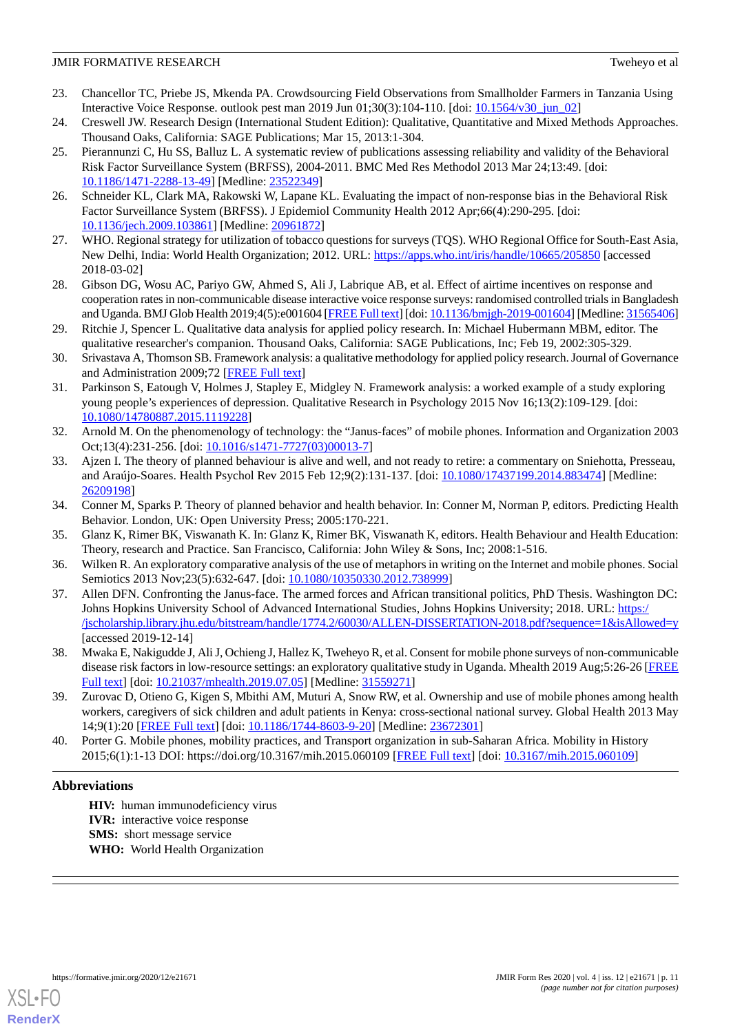- <span id="page-10-0"></span>23. Chancellor TC, Priebe JS, Mkenda PA. Crowdsourcing Field Observations from Smallholder Farmers in Tanzania Using Interactive Voice Response. outlook pest man 2019 Jun 01;30(3):104-110. [doi: [10.1564/v30\\_jun\\_02](http://dx.doi.org/10.1564/v30_jun_02)]
- <span id="page-10-2"></span><span id="page-10-1"></span>24. Creswell JW. Research Design (International Student Edition): Qualitative, Quantitative and Mixed Methods Approaches. Thousand Oaks, California: SAGE Publications; Mar 15, 2013:1-304.
- 25. Pierannunzi C, Hu SS, Balluz L. A systematic review of publications assessing reliability and validity of the Behavioral Risk Factor Surveillance System (BRFSS), 2004-2011. BMC Med Res Methodol 2013 Mar 24;13:49. [doi: [10.1186/1471-2288-13-49\]](http://dx.doi.org/10.1186/1471-2288-13-49) [Medline: [23522349\]](http://www.ncbi.nlm.nih.gov/entrez/query.fcgi?cmd=Retrieve&db=PubMed&list_uids=23522349&dopt=Abstract)
- <span id="page-10-4"></span><span id="page-10-3"></span>26. Schneider KL, Clark MA, Rakowski W, Lapane KL. Evaluating the impact of non-response bias in the Behavioral Risk Factor Surveillance System (BRFSS). J Epidemiol Community Health 2012 Apr;66(4):290-295. [doi: [10.1136/jech.2009.103861\]](http://dx.doi.org/10.1136/jech.2009.103861) [Medline: [20961872](http://www.ncbi.nlm.nih.gov/entrez/query.fcgi?cmd=Retrieve&db=PubMed&list_uids=20961872&dopt=Abstract)]
- <span id="page-10-5"></span>27. WHO. Regional strategy for utilization of tobacco questions for surveys (TQS). WHO Regional Office for South-East Asia, New Delhi, India: World Health Organization; 2012. URL: <https://apps.who.int/iris/handle/10665/205850> [accessed 2018-03-02]
- <span id="page-10-6"></span>28. Gibson DG, Wosu AC, Pariyo GW, Ahmed S, Ali J, Labrique AB, et al. Effect of airtime incentives on response and cooperation rates in non-communicable disease interactive voice response surveys: randomised controlled trials in Bangladesh and Uganda. BMJ Glob Health 2019;4(5):e001604 [\[FREE Full text\]](https://gh.bmj.com/lookup/pmidlookup?view=long&pmid=31565406) [doi: [10.1136/bmjgh-2019-001604\]](http://dx.doi.org/10.1136/bmjgh-2019-001604) [Medline: [31565406\]](http://www.ncbi.nlm.nih.gov/entrez/query.fcgi?cmd=Retrieve&db=PubMed&list_uids=31565406&dopt=Abstract)
- <span id="page-10-7"></span>29. Ritchie J, Spencer L. Qualitative data analysis for applied policy research. In: Michael Hubermann MBM, editor. The qualitative researcher's companion. Thousand Oaks, California: SAGE Publications, Inc; Feb 19, 2002:305-329.
- <span id="page-10-8"></span>30. Srivastava A, Thomson SB. Framework analysis: a qualitative methodology for applied policy research. Journal of Governance and Administration 2009;72 [\[FREE Full text\]](https://papers.ssrn.com/sol3/papers.cfm?abstract_id=2760705)
- <span id="page-10-9"></span>31. Parkinson S, Eatough V, Holmes J, Stapley E, Midgley N. Framework analysis: a worked example of a study exploring young people's experiences of depression. Qualitative Research in Psychology 2015 Nov 16;13(2):109-129. [doi: [10.1080/14780887.2015.1119228\]](http://dx.doi.org/10.1080/14780887.2015.1119228)
- <span id="page-10-10"></span>32. Arnold M. On the phenomenology of technology: the "Janus-faces" of mobile phones. Information and Organization 2003 Oct;13(4):231-256. [doi: [10.1016/s1471-7727\(03\)00013-7](http://dx.doi.org/10.1016/s1471-7727(03)00013-7)]
- <span id="page-10-11"></span>33. Ajzen I. The theory of planned behaviour is alive and well, and not ready to retire: a commentary on Sniehotta, Presseau, and Araújo-Soares. Health Psychol Rev 2015 Feb 12;9(2):131-137. [doi: [10.1080/17437199.2014.883474](http://dx.doi.org/10.1080/17437199.2014.883474)] [Medline: [26209198](http://www.ncbi.nlm.nih.gov/entrez/query.fcgi?cmd=Retrieve&db=PubMed&list_uids=26209198&dopt=Abstract)]
- <span id="page-10-12"></span>34. Conner M, Sparks P. Theory of planned behavior and health behavior. In: Conner M, Norman P, editors. Predicting Health Behavior. London, UK: Open University Press; 2005:170-221.
- <span id="page-10-13"></span>35. Glanz K, Rimer BK, Viswanath K. In: Glanz K, Rimer BK, Viswanath K, editors. Health Behaviour and Health Education: Theory, research and Practice. San Francisco, California: John Wiley & Sons, Inc; 2008:1-516.
- 36. Wilken R. An exploratory comparative analysis of the use of metaphors in writing on the Internet and mobile phones. Social Semiotics 2013 Nov; 23(5): 632-647. [doi: 10.1080/10350330. 2012. 738999]
- <span id="page-10-14"></span>37. Allen DFN. Confronting the Janus-face. The armed forces and African transitional politics, PhD Thesis. Washington DC: Johns Hopkins University School of Advanced International Studies, Johns Hopkins University; 2018. URL: [https:/](https://jscholarship.library.jhu.edu/bitstream/handle/1774.2/60030/ALLEN-DISSERTATION-2018.pdf?sequence=1&isAllowed=y) [/jscholarship.library.jhu.edu/bitstream/handle/1774.2/60030/ALLEN-DISSERTATION-2018.pdf?sequence=1&isAllowed=y](https://jscholarship.library.jhu.edu/bitstream/handle/1774.2/60030/ALLEN-DISSERTATION-2018.pdf?sequence=1&isAllowed=y) [accessed 2019-12-14]
- <span id="page-10-16"></span><span id="page-10-15"></span>38. Mwaka E, Nakigudde J, Ali J, Ochieng J, Hallez K, Tweheyo R, et al. Consent for mobile phone surveys of non-communicable disease risk factors in low-resource settings: an exploratory qualitative study in Uganda. Mhealth 2019 Aug;5:26-26 [\[FREE](https://doi.org/10.21037/mhealth.2019.07.05) [Full text\]](https://doi.org/10.21037/mhealth.2019.07.05) [doi: [10.21037/mhealth.2019.07.05](http://dx.doi.org/10.21037/mhealth.2019.07.05)] [Medline: [31559271\]](http://www.ncbi.nlm.nih.gov/entrez/query.fcgi?cmd=Retrieve&db=PubMed&list_uids=31559271&dopt=Abstract)
- 39. Zurovac D, Otieno G, Kigen S, Mbithi AM, Muturi A, Snow RW, et al. Ownership and use of mobile phones among health workers, caregivers of sick children and adult patients in Kenya: cross-sectional national survey. Global Health 2013 May 14;9(1):20 [[FREE Full text\]](https://globalizationandhealth.biomedcentral.com/articles/10.1186/1744-8603-9-20) [doi: [10.1186/1744-8603-9-20](http://dx.doi.org/10.1186/1744-8603-9-20)] [Medline: [23672301](http://www.ncbi.nlm.nih.gov/entrez/query.fcgi?cmd=Retrieve&db=PubMed&list_uids=23672301&dopt=Abstract)]
- 40. Porter G. Mobile phones, mobility practices, and Transport organization in sub-Saharan Africa. Mobility in History 2015;6(1):1-13 DOI: https://doi.org/10.3167/mih.2015.060109 [\[FREE Full text\]](https://www.berghahnjournals.com/view/journals/mobility-in-history/6/1/mih060109.xml) [doi: [10.3167/mih.2015.060109\]](http://dx.doi.org/10.3167/mih.2015.060109)

# **Abbreviations**

**HIV:** human immunodeficiency virus **IVR:** interactive voice response **SMS:** short message service **WHO:** World Health Organization